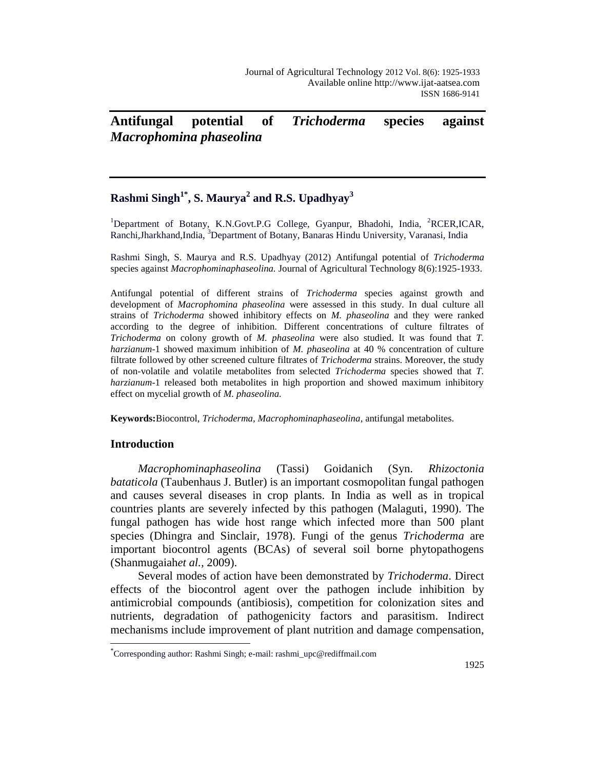# **Antifungal potential of** *Trichoderma* **species against**  *Macrophomina phaseolina*

## **Rashmi Singh1\* , S. Maurya<sup>2</sup> and R.S. Upadhyay<sup>3</sup>**

<sup>1</sup>Department of Botany, K.N.Govt.P.G College, Gyanpur, Bhadohi, India, <sup>2</sup>RCER,ICAR, Ranchi,Jharkhand,India, <sup>3</sup>Department of Botany, Banaras Hindu University, Varanasi, India

Rashmi Singh, S. Maurya and R.S. Upadhyay (2012) Antifungal potential of *Trichoderma* species against *Macrophominaphaseolina.* Journal of Agricultural Technology 8(6):1925-1933.

Antifungal potential of different strains of *Trichoderma* species against growth and development of *Macrophomina phaseolina* were assessed in this study. In dual culture all strains of *Trichoderma* showed inhibitory effects on *M. phaseolina* and they were ranked according to the degree of inhibition. Different concentrations of culture filtrates of *Trichoderma* on colony growth of *M. phaseolina* were also studied. It was found that *T. harzianum*-1 showed maximum inhibition of *M. phaseolina* at 40 % concentration of culture filtrate followed by other screened culture filtrates of *Trichoderma* strains. Moreover, the study of non-volatile and volatile metabolites from selected *Trichoderma* species showed that *T. harzianum*-1 released both metabolites in high proportion and showed maximum inhibitory effect on mycelial growth of *M. phaseolina.*

**Keywords:**Biocontrol, *Trichoderma, Macrophominaphaseolina*, antifungal metabolites.

## **Introduction**

 $\overline{a}$ 

*Macrophominaphaseolina* (Tassi) Goidanich (Syn. *Rhizoctonia bataticola* (Taubenhaus J. Butler) is an important cosmopolitan fungal pathogen and causes several diseases in crop plants. In India as well as in tropical countries plants are severely infected by this pathogen (Malaguti, 1990). The fungal pathogen has wide host range which infected more than 500 plant species (Dhingra and Sinclair, 1978). Fungi of the genus *Trichoderma* are important biocontrol agents (BCAs) of several soil borne phytopathogens (Shanmugaiah*et al.,* 2009).

Several modes of action have been demonstrated by *Trichoderma*. Direct effects of the biocontrol agent over the pathogen include inhibition by antimicrobial compounds (antibiosis), competition for colonization sites and nutrients, degradation of pathogenicity factors and parasitism. Indirect mechanisms include improvement of plant nutrition and damage compensation,

<sup>\*</sup> Corresponding author: Rashmi Singh; e-mail: rashmi\_upc@rediffmail.com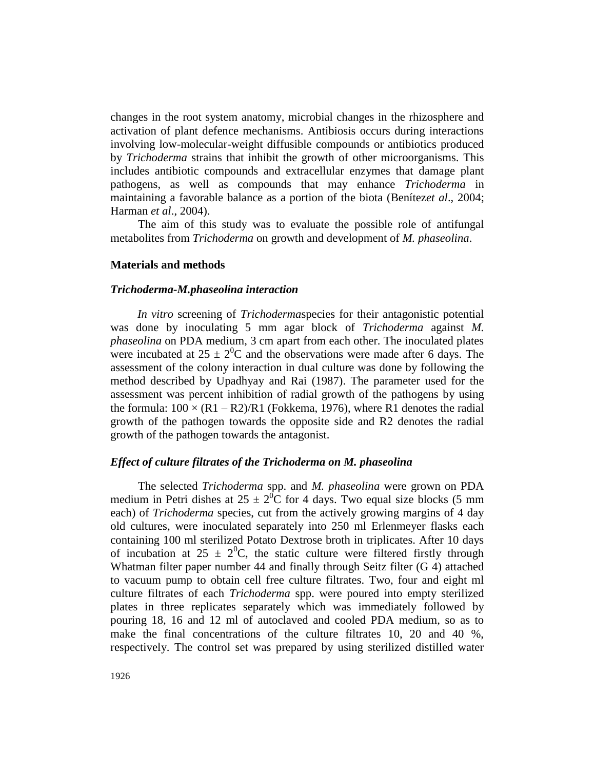changes in the root system anatomy, microbial changes in the rhizosphere and activation of plant defence mechanisms. Antibiosis occurs during interactions involving low-molecular-weight diffusible compounds or antibiotics produced by *Trichoderma* strains that inhibit the growth of other microorganisms. This includes antibiotic compounds and extracellular enzymes that damage plant pathogens, as well as compounds that may enhance *Trichoderma* in maintaining a favorable balance as a portion of the biota (Benítez*et al*., 2004; Harman *et al*., 2004).

The aim of this study was to evaluate the possible role of antifungal metabolites from *Trichoderma* on growth and development of *M. phaseolina*.

## **Materials and methods**

### *Trichoderma-M.phaseolina interaction*

*In vitro* screening of *Trichoderma*species for their antagonistic potential was done by inoculating 5 mm agar block of *Trichoderma* against *M. phaseolina* on PDA medium, 3 cm apart from each other. The inoculated plates were incubated at  $25 \pm 2^{0}C$  and the observations were made after 6 days. The assessment of the colony interaction in dual culture was done by following the method described by Upadhyay and Rai (1987). The parameter used for the assessment was percent inhibition of radial growth of the pathogens by using the formula:  $100 \times (R1 - R2)/R1$  (Fokkema, 1976), where R1 denotes the radial growth of the pathogen towards the opposite side and R2 denotes the radial growth of the pathogen towards the antagonist.

### *Effect of culture filtrates of the Trichoderma on M. phaseolina*

The selected *Trichoderma* spp. and *M. phaseolina* were grown on PDA medium in Petri dishes at  $25 \pm 2^{0}C$  for 4 days. Two equal size blocks (5 mm each) of *Trichoderma* species, cut from the actively growing margins of 4 day old cultures, were inoculated separately into 250 ml Erlenmeyer flasks each containing 100 ml sterilized Potato Dextrose broth in triplicates. After 10 days of incubation at  $25 \pm 2^{0}C$ , the static culture were filtered firstly through Whatman filter paper number 44 and finally through Seitz filter (G 4) attached to vacuum pump to obtain cell free culture filtrates. Two, four and eight ml culture filtrates of each *Trichoderma* spp. were poured into empty sterilized plates in three replicates separately which was immediately followed by pouring 18, 16 and 12 ml of autoclaved and cooled PDA medium, so as to make the final concentrations of the culture filtrates 10, 20 and 40 %, respectively. The control set was prepared by using sterilized distilled water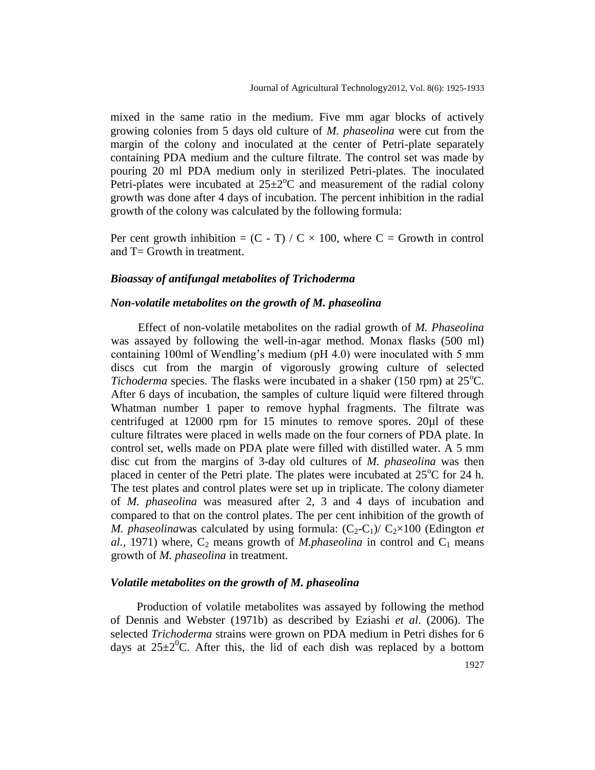mixed in the same ratio in the medium. Five mm agar blocks of actively growing colonies from 5 days old culture of *M. phaseolina* were cut from the margin of the colony and inoculated at the center of Petri-plate separately containing PDA medium and the culture filtrate. The control set was made by pouring 20 ml PDA medium only in sterilized Petri-plates. The inoculated Petri-plates were incubated at  $25\pm2\degree C$  and measurement of the radial colony growth was done after 4 days of incubation. The percent inhibition in the radial growth of the colony was calculated by the following formula:

Per cent growth inhibition =  $(C - T) / C \times 100$ , where C = Growth in control and  $T =$  Growth in treatment.

## *Bioassay of antifungal metabolites of Trichoderma*

## *Non-volatile metabolites on the growth of M. phaseolina*

Effect of non-volatile metabolites on the radial growth of *M. Phaseolina* was assayed by following the well-in-agar method. Monax flasks (500 ml) containing 100ml of Wendling's medium (pH 4.0) were inoculated with 5 mm discs cut from the margin of vigorously growing culture of selected *Tichoderma* species. The flasks were incubated in a shaker (150 rpm) at  $25^{\circ}$ C. After 6 days of incubation, the samples of culture liquid were filtered through Whatman number 1 paper to remove hyphal fragments. The filtrate was centrifuged at 12000 rpm for 15 minutes to remove spores. 20µl of these culture filtrates were placed in wells made on the four corners of PDA plate. In control set, wells made on PDA plate were filled with distilled water. A 5 mm disc cut from the margins of 3-day old cultures of *M. phaseolina* was then placed in center of the Petri plate. The plates were incubated at  $25^{\circ}$ C for 24 h. The test plates and control plates were set up in triplicate. The colony diameter of *M. phaseolina* was measured after 2, 3 and 4 days of incubation and compared to that on the control plates. The per cent inhibition of the growth of *M. phaseolinawas calculated by using formula:*  $(C_2-C_1)/C_2 \times 100$  (Edington *et al.,* 1971) where,  $C_2$  means growth of *M.phaseolina* in control and  $C_1$  means growth of *M. phaseolina* in treatment.

## *Volatile metabolites on the growth of M. phaseolina*

Production of volatile metabolites was assayed by following the method of Dennis and Webster (1971b) as described by Eziashi *et al*. (2006). The selected *Trichoderma* strains were grown on PDA medium in Petri dishes for 6 days at  $25\pm2\degree$ C. After this, the lid of each dish was replaced by a bottom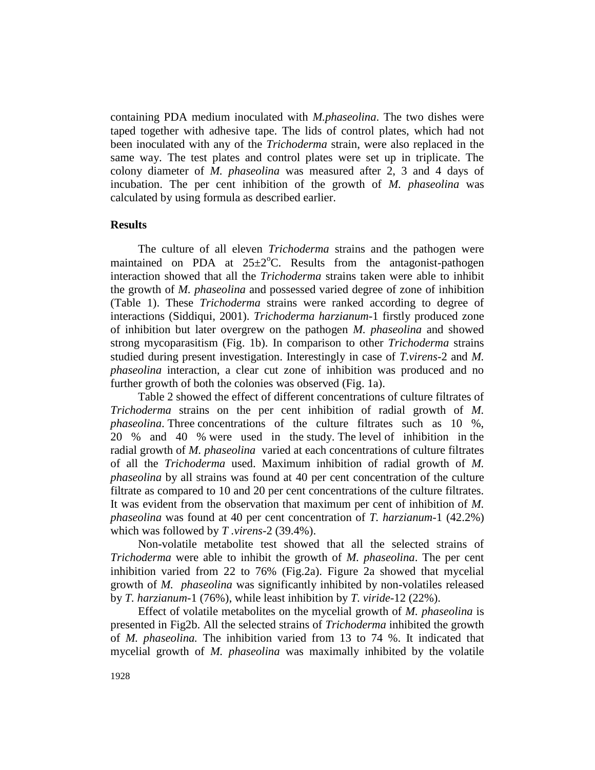containing PDA medium inoculated with *M.phaseolina*. The two dishes were taped together with adhesive tape. The lids of control plates, which had not been inoculated with any of the *Trichoderma* strain, were also replaced in the same way. The test plates and control plates were set up in triplicate. The colony diameter of *M. phaseolina* was measured after 2, 3 and 4 days of incubation. The per cent inhibition of the growth of *M. phaseolina* was calculated by using formula as described earlier.

## **Results**

The culture of all eleven *Trichoderma* strains and the pathogen were maintained on PDA at  $25\pm2\degree$ C. Results from the antagonist-pathogen interaction showed that all the *Trichoderma* strains taken were able to inhibit the growth of *M. phaseolina* and possessed varied degree of zone of inhibition (Table 1). These *Trichoderma* strains were ranked according to degree of interactions (Siddiqui, 2001). *Trichoderma harzianum*-1 firstly produced zone of inhibition but later overgrew on the pathogen *M. phaseolina* and showed strong mycoparasitism (Fig. 1b). In comparison to other *Trichoderma* strains studied during present investigation. Interestingly in case of *T.virens*-2 and *M. phaseolina* interaction, a clear cut zone of inhibition was produced and no further growth of both the colonies was observed (Fig. 1a).

Table 2 showed the effect of different concentrations of culture filtrates of *Trichoderma* strains on the per cent inhibition of radial growth of *M. phaseolina*. Three concentrations of the culture filtrates such as 10 %, 20 % and 40 % were used in the study. The level of inhibition in the radial growth of *M. phaseolina* varied at each concentrations of culture filtrates of all the *Trichoderma* used. Maximum inhibition of radial growth of *M. phaseolina* by all strains was found at 40 per cent concentration of the culture filtrate as compared to 10 and 20 per cent concentrations of the culture filtrates. It was evident from the observation that maximum per cent of inhibition of *M. phaseolina* was found at 40 per cent concentration of *T. harzianum*-1 (42.2%) which was followed by *T .virens*-2 (39.4%).

Non-volatile metabolite test showed that all the selected strains of *Trichoderma* were able to inhibit the growth of *M. phaseolina*. The per cent inhibition varied from 22 to 76% (Fig.2a). Figure 2a showed that mycelial growth of *M. phaseolina* was significantly inhibited by non-volatiles released by *T. harzianum*-1 (76%), while least inhibition by *T. viride*-12 (22%).

Effect of volatile metabolites on the mycelial growth of *M. phaseolina* is presented in Fig2b. All the selected strains of *Trichoderma* inhibited the growth of *M. phaseolina.* The inhibition varied from 13 to 74 %. It indicated that mycelial growth of *M. phaseolina* was maximally inhibited by the volatile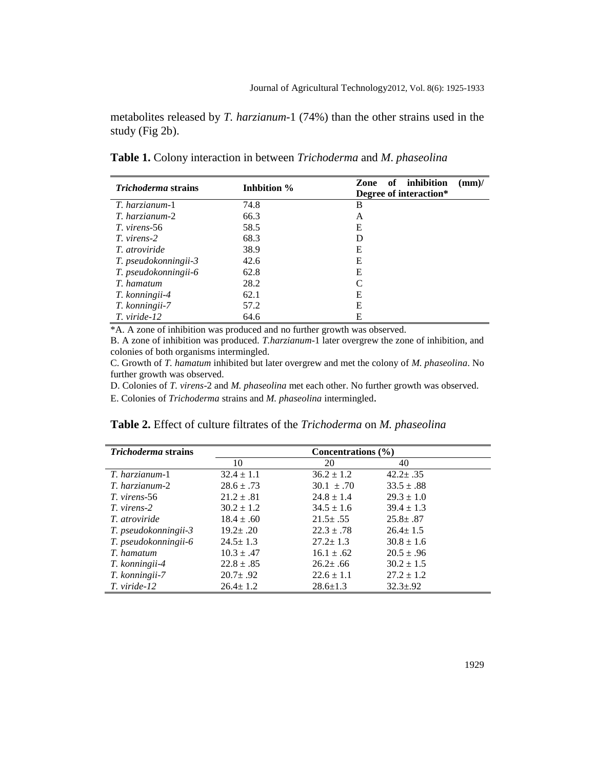metabolites released by *T. harzianum*-1 (74%) than the other strains used in the study (Fig 2b).

**Table 1.** Colony interaction in between *Trichoderma* and *M*. *phaseolina*

| <i>Trichoderma</i> strains | Inhbition % | of inhibition<br>Zone<br>$\textbf{(mm)}$ |  |  |
|----------------------------|-------------|------------------------------------------|--|--|
|                            |             | Degree of interaction*                   |  |  |
| T. harzianum-1             | 74.8        | B                                        |  |  |
| T. harzianum-2             | 66.3        | A                                        |  |  |
| T. virens-56               | 58.5        | Е                                        |  |  |
| T. virens-2                | 68.3        | D                                        |  |  |
| <i>T.</i> atroviride       | 38.9        | Е                                        |  |  |
| T. pseudokonningii-3       | 42.6        | Е                                        |  |  |
| T. pseudokonningii-6       | 62.8        | Е                                        |  |  |
| T. hamatum                 | 28.2        |                                          |  |  |
| T. konningii-4             | 62.1        | Е                                        |  |  |
| T. konningii-7             | 57.2        | Е                                        |  |  |
| T. viride-12               | 64.6        | Е                                        |  |  |

\*A. A zone of inhibition was produced and no further growth was observed.

B. A zone of inhibition was produced. *T.harzianum*-1 later overgrew the zone of inhibition, and colonies of both organisms intermingled.

C. Growth of *T. hamatum* inhibited but later overgrew and met the colony of *M. phaseolina*. No further growth was observed.

D. Colonies of *T. virens*-2 and *M. phaseolina* met each other. No further growth was observed.

E. Colonies of *Trichoderma* strains and *M. phaseolina* intermingled.

|  |  |  |  | <b>Table 2.</b> Effect of culture filtrates of the <i>Trichoderma</i> on <i>M. phaseolina</i> |  |  |
|--|--|--|--|-----------------------------------------------------------------------------------------------|--|--|
|--|--|--|--|-----------------------------------------------------------------------------------------------|--|--|

| <i>Trichoderma</i> strains | Concentrations $(\% )$ |                |                |  |
|----------------------------|------------------------|----------------|----------------|--|
|                            | 10                     | 20             | 40             |  |
| T. harzianum-1             | $32.4 \pm 1.1$         | $36.2 \pm 1.2$ | $42.2 \pm .35$ |  |
| T. harzianum-2             | $28.6 \pm .73$         | $30.1 \pm .70$ | $33.5 \pm .88$ |  |
| T. virens-56               | $21.2 \pm .81$         | $24.8 \pm 1.4$ | $29.3 \pm 1.0$ |  |
| T. virens-2                | $30.2 \pm 1.2$         | $34.5 \pm 1.6$ | $39.4 \pm 1.3$ |  |
| <i>T.</i> atroviride       | $18.4 \pm .60$         | $21.5 \pm .55$ | $25.8 \pm .87$ |  |
| T. pseudokonningii-3       | $19.2 \pm .20$         | $22.3 \pm .78$ | $26.4 \pm 1.5$ |  |
| T. pseudokonningii-6       | $24.5 \pm 1.3$         | $27.2 \pm 1.3$ | $30.8 \pm 1.6$ |  |
| T. hamatum                 | $10.3 \pm .47$         | $16.1 \pm .62$ | $20.5 \pm .96$ |  |
| T. konningii-4             | $22.8 \pm .85$         | $26.2 \pm .66$ | $30.2 \pm 1.5$ |  |
| T. konningii-7             | $20.7 \pm .92$         | $22.6 \pm 1.1$ | $27.2 \pm 1.2$ |  |
| T. viride-12               | $26.4 \pm 1.2$         | $28.6 \pm 1.3$ | $32.3 \pm .92$ |  |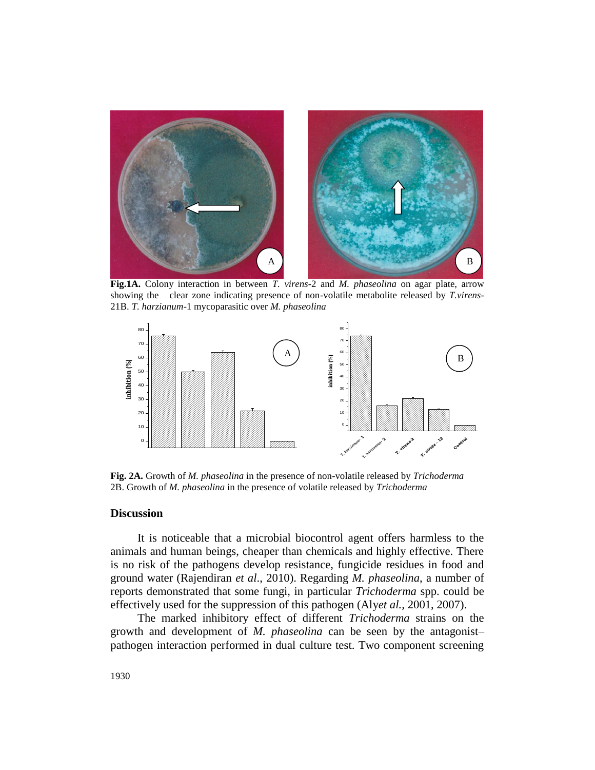

**Fig.1A.** Colony interaction in between *T. virens*-2 and *M. phaseolina* on agar plate, arrow showing the clear zone indicating presence of non-volatile metabolite released by *T.virens*-21B. *T. harzianum*-1 mycoparasitic over *M. phaseolina*



**Fig. 2A.** Growth of *M. phaseolina* in the presence of non-volatile released by *Trichoderma* 2B. Growth of *M. phaseolina* in the presence of volatile released by *Trichoderma*

### **Discussion**

It is noticeable that a microbial biocontrol agent offers harmless to the animals and human beings, cheaper than chemicals and highly effective. There is no risk of the pathogens develop resistance, fungicide residues in food and ground water (Rajendiran *et al*., 2010). Regarding *M. phaseolina*, a number of reports demonstrated that some fungi, in particular *Trichoderma* spp. could be effectively used for the suppression of this pathogen (Aly*et al.,* 2001, 2007).

The marked inhibitory effect of different *Trichoderma* strains on the growth and development of *M. phaseolina* can be seen by the antagonist– pathogen interaction performed in dual culture test. Two component screening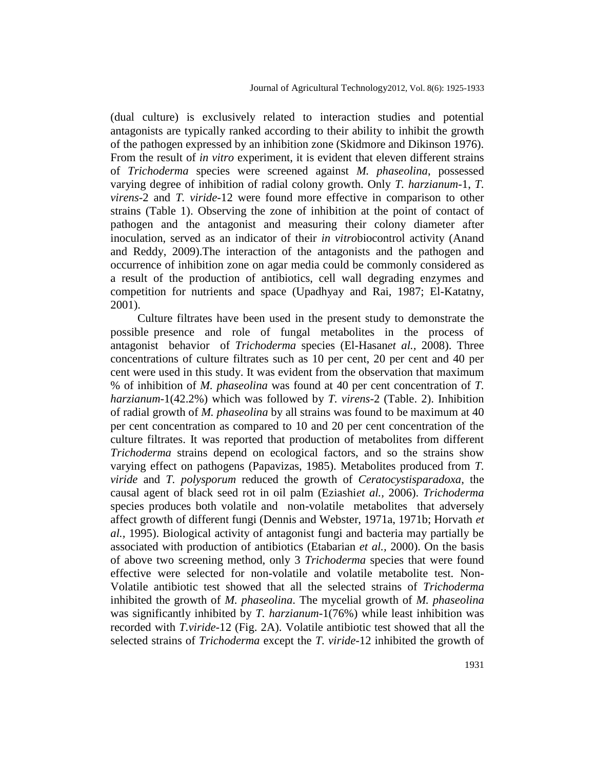(dual culture) is exclusively related to interaction studies and potential antagonists are typically ranked according to their ability to inhibit the growth of the pathogen expressed by an inhibition zone (Skidmore and Dikinson 1976). From the result of *in vitro* experiment, it is evident that eleven different strains of *Trichoderma* species were screened against *M. phaseolina*, possessed varying degree of inhibition of radial colony growth. Only *T. harzianum*-1, *T. virens*-2 and *T. viride*-12 were found more effective in comparison to other strains (Table 1). Observing the zone of inhibition at the point of contact of pathogen and the antagonist and measuring their colony diameter after inoculation, served as an indicator of their *in vitro*biocontrol activity (Anand and Reddy, 2009).The interaction of the antagonists and the pathogen and occurrence of inhibition zone on agar media could be commonly considered as a result of the production of antibiotics, cell wall degrading enzymes and competition for nutrients and space (Upadhyay and Rai, 1987; El-Katatny, 2001).

Culture filtrates have been used in the present study to demonstrate the possible presence and role of fungal metabolites in the process of antagonist behavior of *Trichoderma* species (El-Hasan*et al.,* 2008). Three concentrations of culture filtrates such as 10 per cent, 20 per cent and 40 per cent were used in this study. It was evident from the observation that maximum % of inhibition of *M. phaseolina* was found at 40 per cent concentration of *T. harzianum*-1(42.2%) which was followed by *T. virens*-2 (Table. 2). Inhibition of radial growth of *M. phaseolina* by all strains was found to be maximum at 40 per cent concentration as compared to 10 and 20 per cent concentration of the culture filtrates. It was reported that production of metabolites from different *Trichoderma* strains depend on ecological factors, and so the strains show varying effect on pathogens (Papavizas, 1985). Metabolites produced from *T. viride* and *T. polysporum* reduced the growth of *Ceratocystisparadoxa*, the causal agent of black seed rot in oil palm (Eziashi*et al.,* 2006). *Trichoderma* species produces both volatile and non-volatile metabolites that adversely affect growth of different fungi (Dennis and Webster, 1971a, 1971b; Horvath *et al.,* 1995). Biological activity of antagonist fungi and bacteria may partially be associated with production of antibiotics (Etabarian *et al.,* 2000). On the basis of above two screening method, only 3 *Trichoderma* species that were found effective were selected for non-volatile and volatile metabolite test. Non-Volatile antibiotic test showed that all the selected strains of *Trichoderma* inhibited the growth of *M. phaseolina*. The mycelial growth of *M. phaseolina* was significantly inhibited by *T. harzianum*-1(76%) while least inhibition was recorded with *T.viride*-12 (Fig. 2A). Volatile antibiotic test showed that all the selected strains of *Trichoderma* except the *T. viride*-12 inhibited the growth of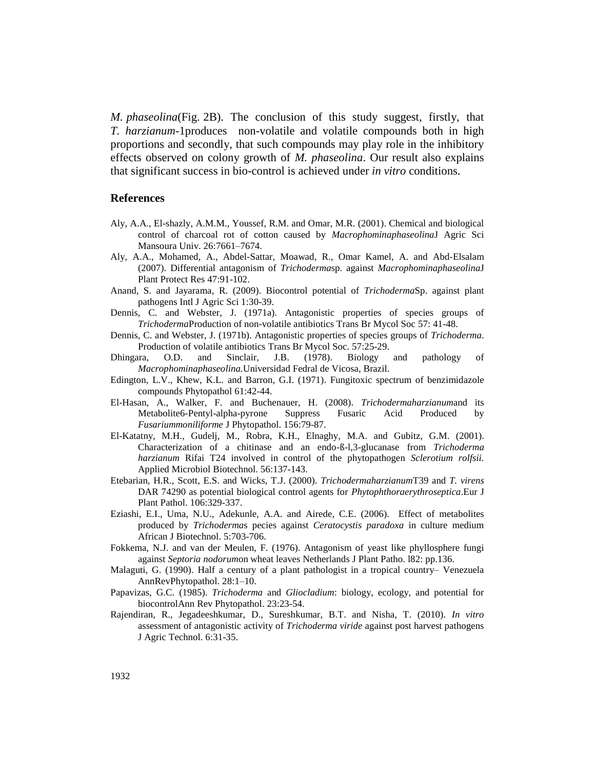*M. phaseolina*(Fig. 2B). The conclusion of this study suggest, firstly, that *T. harzianum*-1produces non-volatile and volatile compounds both in high proportions and secondly, that such compounds may play role in the inhibitory effects observed on colony growth of *M. phaseolina*. Our result also explains that significant success in bio-control is achieved under *in vitro* conditions.

#### **References**

- Aly, A.A., El-shazly, A.M.M., Youssef, R.M. and Omar, M.R. (2001). Chemical and biological control of charcoal rot of cotton caused by *Macrophominaphaseolina*J Agric Sci Mansoura Univ. 26:7661–7674.
- Aly, A.A., Mohamed, A., Abdel-Sattar, Moawad, R., Omar Kamel, A. and Abd-Elsalam (2007). Differential antagonism of *Trichoderma*sp. against *Macrophominaphaseolina*J Plant Protect Res 47:91-102.
- Anand, S. and Jayarama, R. (2009). Biocontrol potential of *Trichoderma*Sp. against plant pathogens Intl J Agric Sci 1:30-39.
- Dennis, C. and Webster, J. (1971a). Antagonistic properties of species groups of *Trichoderma*Production of non-volatile antibiotics Trans Br Mycol Soc 57: 41-48.
- Dennis, C. and Webster, J. (1971b). Antagonistic properties of species groups of *Trichoderma*. Production of volatile antibiotics Trans Br Mycol Soc. 57:25-29.
- Dhingara, O.D. and Sinclair, J.B. (1978). Biology and pathology of *Macrophominaphaseolina.*Universidad Fedral de Vicosa, Brazil.
- Edington, L.V., Khew, K.L. and Barron, G.I. (1971). Fungitoxic spectrum of benzimidazole compounds Phytopathol 61:42-44.
- El-Hasan, A., Walker, F. and Buchenauer, H. (2008). *Trichodermaharzianum*and its Metabolite6-Pentyl-alpha-pyrone Suppress Fusaric Acid Produced by *Fusariummoniliforme* J Phytopathol. 156:79-87.
- El-Katatny, M.H., Gudelj, M., Robra, K.H., Elnaghy, M.A. and Gubitz, G.M. (2001). Characterization of a chitinase and an endo-ß-l,3-glucanase from *Trichoderma harzianum* Rifai T24 involved in control of the phytopathogen *Sclerotium rolfsii.*  Applied Microbiol Biotechnol. 56:137-143.
- Etebarian, H.R., Scott, E.S. and Wicks, T.J. (2000). *Trichodermaharzianum*T39 and *T. virens* DAR 74290 as potential biological control agents for *Phytophthoraerythroseptica*.Eur J Plant Pathol. 106:329-337.
- Eziashi, E.I., Uma, N.U., Adekunle, A.A. and Airede, C.E. (2006). Effect of metabolites produced by *Trichoderma*s pecies against *Ceratocystis paradoxa* in culture medium African J Biotechnol. 5:703-706.
- Fokkema, N.J. and van der Meulen, F. (1976). Antagonism of yeast like phyllosphere fungi against *Septoria nodorum*on wheat leaves Netherlands J Plant Patho. l82: pp.136.
- Malaguti, G. (1990). Half a century of a plant pathologist in a tropical country– Venezuela AnnRevPhytopathol. 28:1–10.
- Papavizas, G.C. (1985). *Trichoderma* and *Gliocladium*: biology, ecology, and potential for biocontrolAnn Rev Phytopathol. 23:23-54.
- Rajendiran, R., Jegadeeshkumar, D., Sureshkumar, B.T. and Nisha, T. (2010). *In vitro* assessment of antagonistic activity of *Trichoderma viride* against post harvest pathogens J Agric Technol. 6:31-35.